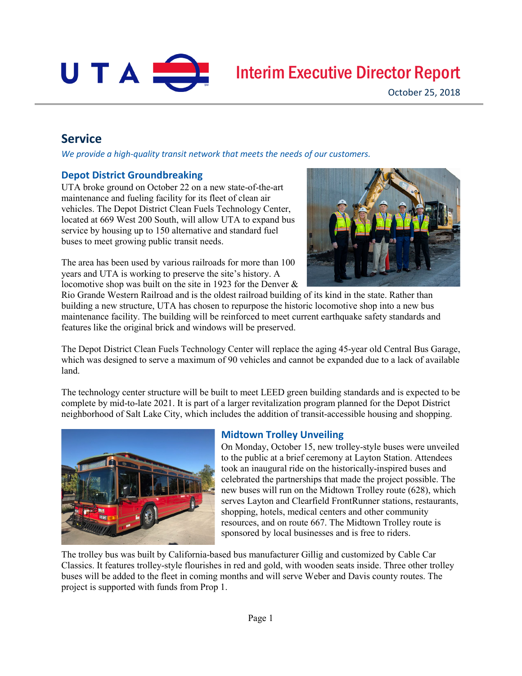

# Interim Executive Director Report

# **Service**

*We provide a high-quality transit network that meets the needs of our customers.*

#### **Depot District Groundbreaking**

UTA broke ground on October 22 on a new state-of-the-art maintenance and fueling facility for its fleet of clean air vehicles. The Depot District Clean Fuels Technology Center, located at 669 West 200 South, will allow UTA to expand bus service by housing up to 150 alternative and standard fuel buses to meet growing public transit needs.

The area has been used by various railroads for more than 100 years and UTA is working to preserve the site's history. A locomotive shop was built on the site in 1923 for the Denver &



Rio Grande Western Railroad and is the oldest railroad building of its kind in the state. Rather than building a new structure, UTA has chosen to repurpose the historic locomotive shop into a new bus maintenance facility. The building will be reinforced to meet current earthquake safety standards and features like the original brick and windows will be preserved.

The Depot District Clean Fuels Technology Center will replace the aging 45-year old Central Bus Garage, which was designed to serve a maximum of 90 vehicles and cannot be expanded due to a lack of available land.

The technology center structure will be built to meet LEED green building standards and is expected to be complete by mid-to-late 2021. It is part of a larger revitalization program planned for the Depot District neighborhood of Salt Lake City, which includes the addition of transit-accessible housing and shopping.



#### **Midtown Trolley Unveiling**

On Monday, October 15, new trolley-style buses were unveiled to the public at a brief ceremony at Layton Station. Attendees took an inaugural ride on the historically-inspired buses and celebrated the partnerships that made the project possible. The new buses will run on the Midtown Trolley route (628), which serves Layton and Clearfield FrontRunner stations, restaurants, shopping, hotels, medical centers and other community resources, and on route 667. The Midtown Trolley route is sponsored by local businesses and is free to riders.

The trolley bus was built by California-based bus manufacturer Gillig and customized by Cable Car Classics. It features trolley-style flourishes in red and gold, with wooden seats inside. Three other trolley buses will be added to the fleet in coming months and will serve Weber and Davis county routes. The project is supported with funds from Prop 1.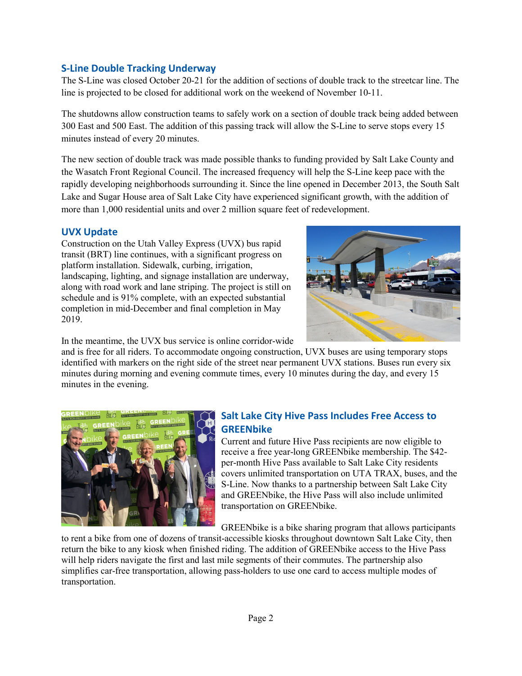#### **S-Line Double Tracking Underway**

The S-Line was closed October 20-21 for the addition of sections of double track to the streetcar line. The line is projected to be closed for additional work on the weekend of November 10-11.

The shutdowns allow construction teams to safely work on a section of double track being added between 300 East and 500 East. The addition of this passing track will allow the S-Line to serve stops every 15 minutes instead of every 20 minutes.

The new section of double track was made possible thanks to funding provided by Salt Lake County and the Wasatch Front Regional Council. The increased frequency will help the S-Line keep pace with the rapidly developing neighborhoods surrounding it. Since the line opened in December 2013, the South Salt Lake and Sugar House area of Salt Lake City have experienced significant growth, with the addition of more than 1,000 residential units and over 2 million square feet of redevelopment.

#### **UVX Update**

Construction on the Utah Valley Express (UVX) bus rapid transit (BRT) line continues, with a significant progress on platform installation. Sidewalk, curbing, irrigation, landscaping, lighting, and signage installation are underway, along with road work and lane striping. The project is still on schedule and is 91% complete, with an expected substantial completion in mid-December and final completion in May 2019.



In the meantime, the UVX bus service is online corridor-wide

and is free for all riders. To accommodate ongoing construction, UVX buses are using temporary stops identified with markers on the right side of the street near permanent UVX stations. Buses run every six minutes during morning and evening commute times, every 10 minutes during the day, and every 15 minutes in the evening.



# **Salt Lake City Hive Pass Includes Free Access to GREENbike**

Current and future Hive Pass recipients are now eligible to receive a free year-long GREENbike membership. The \$42 per-month Hive Pass available to Salt Lake City residents covers unlimited transportation on UTA TRAX, buses, and the S-Line. Now thanks to a partnership between Salt Lake City and GREENbike, the Hive Pass will also include unlimited transportation on GREENbike.

GREENbike is a bike sharing program that allows participants

to rent a bike from one of dozens of transit-accessible kiosks throughout downtown Salt Lake City, then return the bike to any kiosk when finished riding. The addition of GREENbike access to the Hive Pass will help riders navigate the first and last mile segments of their commutes. The partnership also simplifies car-free transportation, allowing pass-holders to use one card to access multiple modes of transportation.